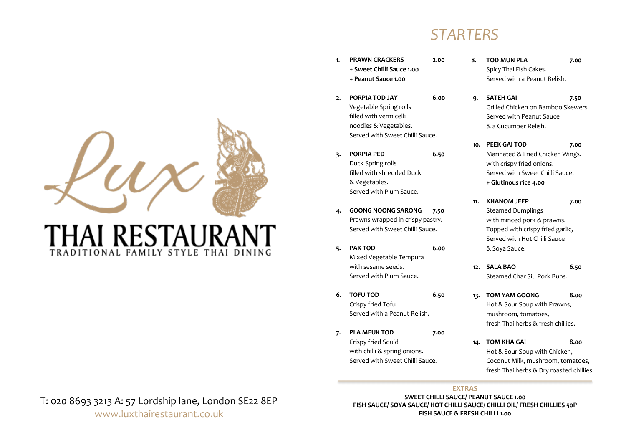

# THAI RESTAURAN ADITIONAL FAMILY STYLE THAI DINING

## Prawns wrapped in crispy pastry. Served with Sweet Chilli Sauce.

**5. PAK TOD 6.00** Mixed Vegetable Tempura with sesame seeds. Served with Plum Sauce.

**+ Peanut Sauce 1.00**

**2. PORPIA TOD JAY 6.00** Vegetable Spring rolls filled with vermicelli noodles & Vegetables.

Served with Sweet Chilli Sauce.

**3. PORPIA PED 6.50**

filled with shredded Duck

Served with Plum Sauce.

**4. GOONG NOONG SARONG 7.50**

Duck Spring rolls

& Vegetables.

- **6. TOFU TOD 6.50** Crispy fried Tofu Served with a Peanut Relish.
- **7. PLA MEUK TOD 7.00** Crispy fried Squid with chilli & spring onions. Served with Sweet Chilli Sauce.

## *STARTERS*

- **8. TOD MUN PLA 7.00** Spicy Thai Fish Cakes. Served with a Peanut Relish. **1. PRAWN CRACKERS 2.00 + Sweet Chilli Sauce 1.00**
	- **9. SATEH GAI 7.50** Grilled Chicken on Bamboo Skewers Served with Peanut Sauce & a Cucumber Relish.
	- **10. PEEK GAI TOD 7.00** Marinated & Fried Chicken Wings. with crispy fried onions. Served with Sweet Chilli Sauce. **+ Glutinous rice 4.00**
	- **11. KHANOM JEEP 7.00**  Steamed Dumplings with minced pork & prawns. Topped with crispy fried garlic, Served with Hot Chilli Sauce & Soya Sauce.
	- **12. SALA BAO 6.50** Steamed Char Siu Pork Buns.
	- **13. TOM YAM GOONG 8.00**  Hot & Sour Soup with Prawns, mushroom, tomatoes, fresh Thai herbs & fresh chillies.
	- **14. TOM KHA GAI 8.00**  Hot & Sour Soup with Chicken, Coconut Milk, mushroom, tomatoes, fresh Thai herbs & Dry roasted chillies.

## **EXTRAS**

**SWEET CHILLI SAUCE/ PEANUT SAUCE 1.00 FISH SAUCE/ SOYA SAUCE/ HOT CHILLI SAUCE/ CHILLI OIL/ FRESH CHILLIES 50P FISH SAUCE & FRESH CHILLI 1.00**

T: 020 8693 3213 A: 57 Lordship lane, London SE22 8EP www.luxthairestaurant.co.uk